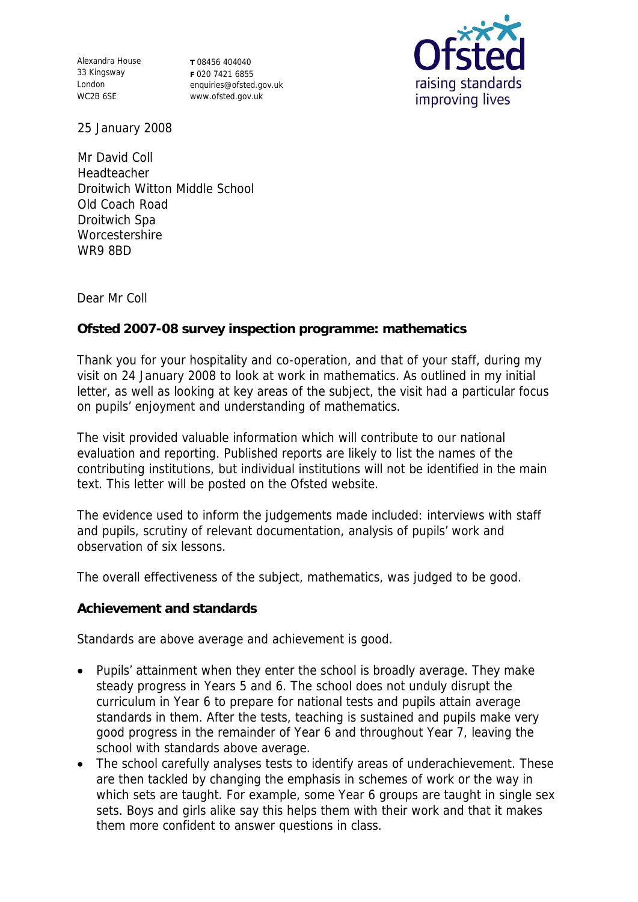Alexandra House 33 Kingsway London WC2B 6SE

**T** 08456 404040 **F** 020 7421 6855 enquiries@ofsted.gov.uk www.ofsted.gov.uk



25 January 2008

Mr David Coll Headteacher Droitwich Witton Middle School Old Coach Road Droitwich Spa **Worcestershire** WR9 8BD

Dear Mr Coll

**Ofsted 2007-08 survey inspection programme: mathematics**

Thank you for your hospitality and co-operation, and that of your staff, during my visit on 24 January 2008 to look at work in mathematics. As outlined in my initial letter, as well as looking at key areas of the subject, the visit had a particular focus on pupils' enjoyment and understanding of mathematics.

The visit provided valuable information which will contribute to our national evaluation and reporting. Published reports are likely to list the names of the contributing institutions, but individual institutions will not be identified in the main text. This letter will be posted on the Ofsted website.

The evidence used to inform the judgements made included: interviews with staff and pupils, scrutiny of relevant documentation, analysis of pupils' work and observation of six lessons.

The overall effectiveness of the subject, mathematics, was judged to be good.

**Achievement and standards**

Standards are above average and achievement is good.

- Pupils' attainment when they enter the school is broadly average. They make steady progress in Years 5 and 6. The school does not unduly disrupt the curriculum in Year 6 to prepare for national tests and pupils attain average standards in them. After the tests, teaching is sustained and pupils make very good progress in the remainder of Year 6 and throughout Year 7, leaving the school with standards above average.
- The school carefully analyses tests to identify areas of underachievement. These are then tackled by changing the emphasis in schemes of work or the way in which sets are taught. For example, some Year 6 groups are taught in single sex sets. Boys and girls alike say this helps them with their work and that it makes them more confident to answer questions in class.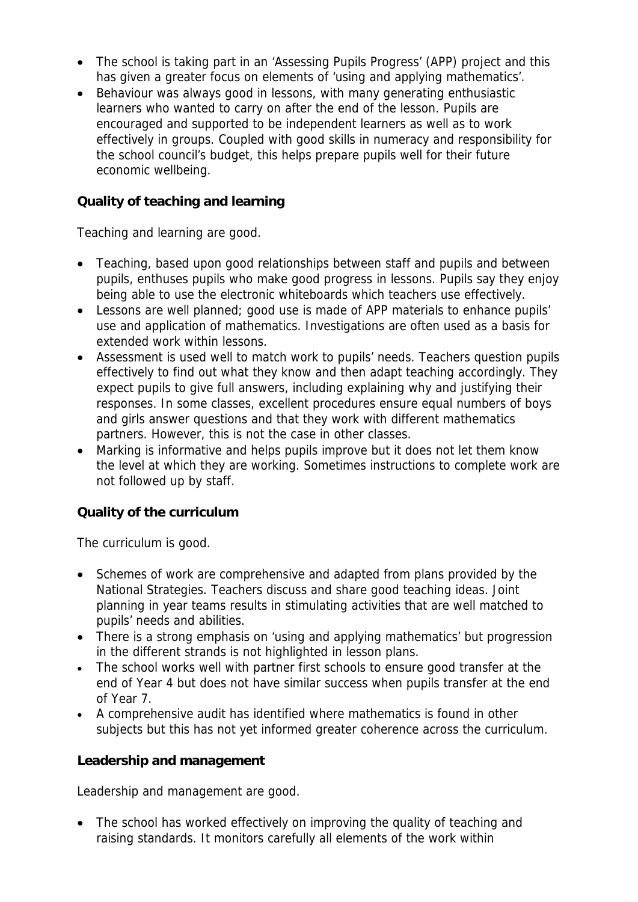- The school is taking part in an 'Assessing Pupils Progress' (APP) project and this has given a greater focus on elements of 'using and applying mathematics'.
- Behaviour was always good in lessons, with many generating enthusiastic learners who wanted to carry on after the end of the lesson. Pupils are encouraged and supported to be independent learners as well as to work effectively in groups. Coupled with good skills in numeracy and responsibility for the school council's budget, this helps prepare pupils well for their future economic wellbeing.

## **Quality of teaching and learning**

Teaching and learning are good.

- Teaching, based upon good relationships between staff and pupils and between pupils, enthuses pupils who make good progress in lessons. Pupils say they enjoy being able to use the electronic whiteboards which teachers use effectively.
- Lessons are well planned; good use is made of APP materials to enhance pupils' use and application of mathematics. Investigations are often used as a basis for extended work within lessons.
- Assessment is used well to match work to pupils' needs. Teachers question pupils effectively to find out what they know and then adapt teaching accordingly. They expect pupils to give full answers, including explaining why and justifying their responses. In some classes, excellent procedures ensure equal numbers of boys and girls answer questions and that they work with different mathematics partners. However, this is not the case in other classes.
- Marking is informative and helps pupils improve but it does not let them know the level at which they are working. Sometimes instructions to complete work are not followed up by staff.

## **Quality of the curriculum**

The curriculum is good.

- Schemes of work are comprehensive and adapted from plans provided by the National Strategies. Teachers discuss and share good teaching ideas. Joint planning in year teams results in stimulating activities that are well matched to pupils' needs and abilities.
- There is a strong emphasis on 'using and applying mathematics' but progression in the different strands is not highlighted in lesson plans.
- The school works well with partner first schools to ensure good transfer at the end of Year 4 but does not have similar success when pupils transfer at the end of Year 7.
- A comprehensive audit has identified where mathematics is found in other subjects but this has not yet informed greater coherence across the curriculum.

**Leadership and management**

Leadership and management are good.

• The school has worked effectively on improving the quality of teaching and raising standards. It monitors carefully all elements of the work within